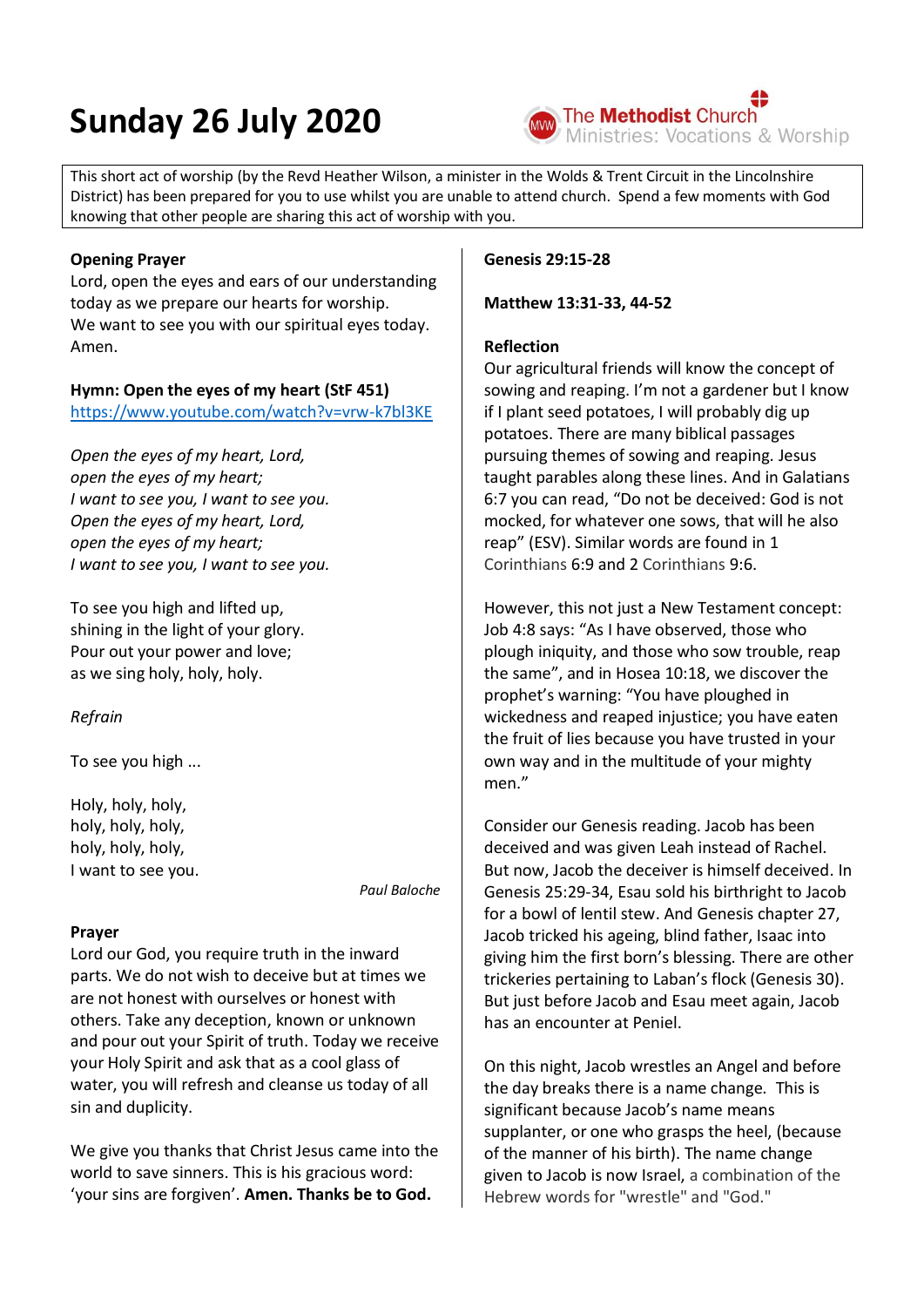# **Sunday 26 July 2020**



This short act of worship (by the Revd Heather Wilson, a minister in the Wolds & Trent Circuit in the Lincolnshire District) has been prepared for you to use whilst you are unable to attend church. Spend a few moments with God knowing that other people are sharing this act of worship with you.

# **Opening Prayer**

Lord, open the eyes and ears of our understanding today as we prepare our hearts for worship. We want to see you with our spiritual eyes today. Amen.

# **Hymn: Open the eyes of my heart (StF 451)**

<https://www.youtube.com/watch?v=vrw-k7bl3KE>

*Open the eyes of my heart, Lord, open the eyes of my heart; I want to see you, I want to see you. Open the eyes of my heart, Lord, open the eyes of my heart; I want to see you, I want to see you.*

To see you high and lifted up, shining in the light of your glory. Pour out your power and love; as we sing holy, holy, holy.

# *Refrain*

To see you high ...

Holy, holy, holy, holy, holy, holy, holy, holy, holy, I want to see you.

*Paul Baloche*

# **Prayer**

Lord our God, you require truth in the inward parts. We do not wish to deceive but at times we are not honest with ourselves or honest with others. Take any deception, known or unknown and pour out your Spirit of truth. Today we receive your Holy Spirit and ask that as a cool glass of water, you will refresh and cleanse us today of all sin and duplicity.

We give you thanks that Christ Jesus came into the world to save sinners. This is his gracious word: 'your sins are forgiven'. **Amen. Thanks be to God.**

#### **Genesis 29:15-28**

**Matthew 13:31-33, 44-52**

# **Reflection**

Our agricultural friends will know the concept of sowing and reaping. I'm not a gardener but I know if I plant seed potatoes, I will probably dig up potatoes. There are many biblical passages pursuing themes of sowing and reaping. Jesus taught parables along these lines. And in Galatians 6:7 you can read, "Do not be deceived: God is not mocked, for whatever one sows, that will he also reap" (ESV). Similar words are found in 1 Corinthians 6:9 and 2 Corinthians 9:6.

However, this not just a New Testament concept: Job 4:8 says: "As I have observed, those who plough iniquity, and those who sow trouble, reap the same", and in Hosea 10:18, we discover the prophet's warning: "You have ploughed in wickedness and reaped injustice; you have eaten the fruit of lies because you have trusted in your own way and in the multitude of your mighty men."

Consider our Genesis reading. Jacob has been deceived and was given Leah instead of Rachel. But now, Jacob the deceiver is himself deceived. In Genesis 25:29-34, Esau sold his birthright to Jacob for a bowl of lentil stew. And Genesis chapter 27, Jacob tricked his ageing, blind father, Isaac into giving him the first born's blessing. There are other trickeries pertaining to Laban's flock (Genesis 30). But just before Jacob and Esau meet again, Jacob has an encounter at Peniel.

On this night, Jacob wrestles an Angel and before the day breaks there is a name change*.* This is significant because Jacob's name means supplanter, or one who grasps the heel, (because of the manner of his birth). The name change given to Jacob is now Israel, a combination of the Hebrew words for "wrestle" and "God."